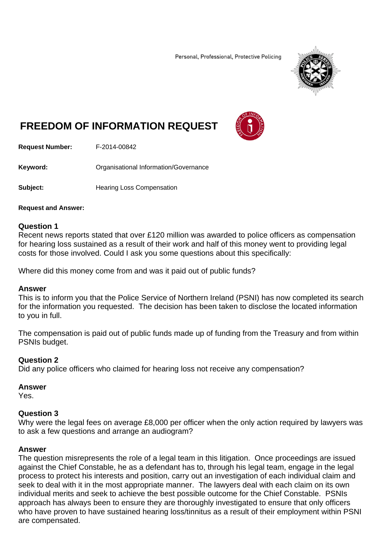Personal, Professional, Protective Policing



# **FREEDOM OF INFORMATION REQUEST**



**Request Number:** F-2014-00842

**Keyword:** Organisational Information/Governance

**Subject: Hearing Loss Compensation** 

**Request and Answer:** 

## **Question 1**

Recent news reports stated that over £120 million was awarded to police officers as compensation for hearing loss sustained as a result of their work and half of this money went to providing legal costs for those involved. Could I ask you some questions about this specifically:

Where did this money come from and was it paid out of public funds?

## **Answer**

This is to inform you that the Police Service of Northern Ireland (PSNI) has now completed its search for the information you requested. The decision has been taken to disclose the located information to you in full.

The compensation is paid out of public funds made up of funding from the Treasury and from within PSNIs budget.

## **Question 2**

Did any police officers who claimed for hearing loss not receive any compensation?

#### **Answer**

Yes.

#### **Question 3**

Why were the legal fees on average £8,000 per officer when the only action required by lawyers was to ask a few questions and arrange an audiogram?

#### **Answer**

The question misrepresents the role of a legal team in this litigation. Once proceedings are issued against the Chief Constable, he as a defendant has to, through his legal team, engage in the legal process to protect his interests and position, carry out an investigation of each individual claim and seek to deal with it in the most appropriate manner. The lawyers deal with each claim on its own individual merits and seek to achieve the best possible outcome for the Chief Constable. PSNIs approach has always been to ensure they are thoroughly investigated to ensure that only officers who have proven to have sustained hearing loss/tinnitus as a result of their employment within PSNI are compensated.